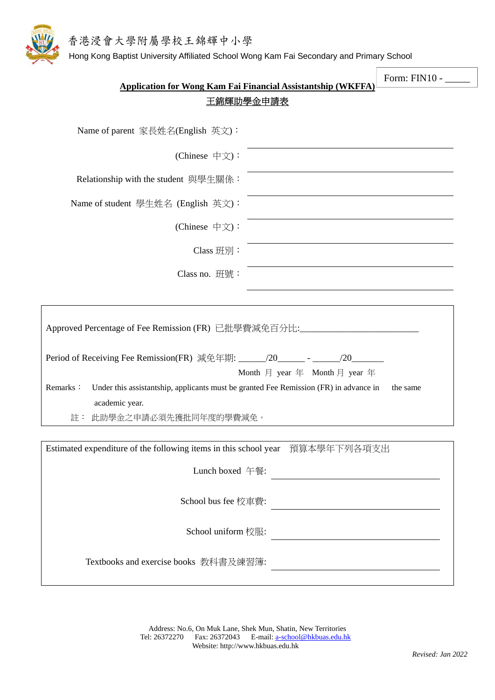



Hong Kong Baptist University Affiliated School Wong Kam Fai Secondary and Primary School

|                                                                                                                                                                      |                                                                                                                        | Form: FIN10 - |  |
|----------------------------------------------------------------------------------------------------------------------------------------------------------------------|------------------------------------------------------------------------------------------------------------------------|---------------|--|
| <b>Application for Wong Kam Fai Financial Assistantship (WKFFA)</b><br>王錦輝助學金申請表                                                                                     |                                                                                                                        |               |  |
|                                                                                                                                                                      |                                                                                                                        |               |  |
| Name of parent 家長姓名(English 英文):                                                                                                                                     |                                                                                                                        |               |  |
| (Chinese 中文):                                                                                                                                                        |                                                                                                                        |               |  |
| Relationship with the student 與學生關係:                                                                                                                                 |                                                                                                                        |               |  |
| Name of student 學生姓名 (English 英文):                                                                                                                                   |                                                                                                                        |               |  |
| (Chinese 中文):                                                                                                                                                        |                                                                                                                        |               |  |
| Class 班別:                                                                                                                                                            |                                                                                                                        |               |  |
| Class no. 班號:                                                                                                                                                        |                                                                                                                        |               |  |
|                                                                                                                                                                      |                                                                                                                        |               |  |
| Approved Percentage of Fee Remission (FR) 已批學費減免百分比:____________________________<br>Period of Receiving Fee Remission(FR) 減免年期: ______/20_______ - ______/20________ |                                                                                                                        |               |  |
| Month $\overline{H}$ year $\overline{H}$ Month $\overline{H}$ year $\overline{H}$                                                                                    |                                                                                                                        |               |  |
| Remarks:<br>Under this assistantship, applicants must be granted Fee Remission (FR) in advance in<br>the same                                                        |                                                                                                                        |               |  |
| academic year.<br>註: 此助學金之申請必須先獲批同年度的學費減免。                                                                                                                           |                                                                                                                        |               |  |
|                                                                                                                                                                      |                                                                                                                        |               |  |
| Estimated expenditure of the following items in this school year 預算本學年下列各項支出                                                                                         |                                                                                                                        |               |  |
| Lunch boxed 午餐:                                                                                                                                                      | <u> Alexandria (Carlo Carlo Carlo Carlo Carlo Carlo Carlo Carlo Carlo Carlo Carlo Carlo Carlo Carlo Carlo Carlo Ca</u> |               |  |
|                                                                                                                                                                      | School bus fee 校車費: $\qquad \qquad$                                                                                    |               |  |
|                                                                                                                                                                      | School uniform $\bigotimes \mathbb{R}$ :                                                                               |               |  |
|                                                                                                                                                                      |                                                                                                                        |               |  |
|                                                                                                                                                                      |                                                                                                                        |               |  |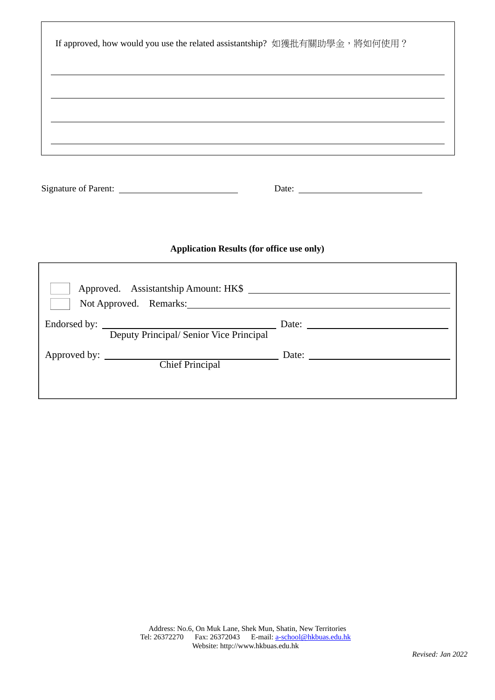| If approved, how would you use the related assistantship? 如獲批有關助學金, 將如何使用? |                                                                                                                      |  |
|----------------------------------------------------------------------------|----------------------------------------------------------------------------------------------------------------------|--|
| <u> 1989 - Johann Stoff, Amerikaansk politiker (* 1908)</u>                |                                                                                                                      |  |
|                                                                            | <u> 1989 - Andrea Barbara, presidente de la contrada de la contrada de la contrada de la contrada de la contrada</u> |  |
|                                                                            | Date: $\qquad \qquad$                                                                                                |  |
| <b>Application Results (for office use only)</b>                           |                                                                                                                      |  |
| Not Approved. Remarks:                                                     |                                                                                                                      |  |
| Endorsed by: Deputy Principal/ Senior Vice Principal Date: 2014.           |                                                                                                                      |  |
|                                                                            |                                                                                                                      |  |
|                                                                            |                                                                                                                      |  |